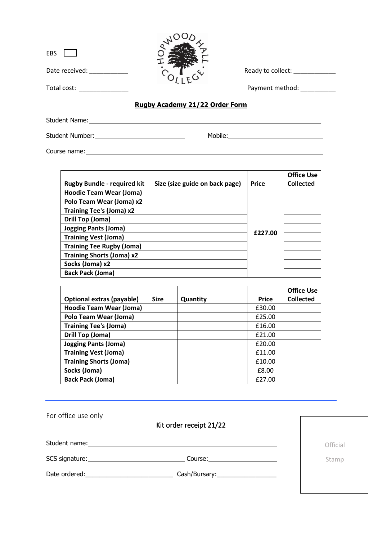| <b>EBS</b>     |                                |                   |
|----------------|--------------------------------|-------------------|
| Date received: |                                | Ready to collect: |
| Total cost:    |                                | Payment method:   |
|                | Rugby Academy 21/22 Order Form |                   |

Student Name: \_\_\_\_\_\_

Student Number: Mobile:

Course name:

|                                    |                                |              | <b>Office Use</b> |
|------------------------------------|--------------------------------|--------------|-------------------|
| <b>Rugby Bundle - required kit</b> | Size (size guide on back page) | <b>Price</b> | <b>Collected</b>  |
| <b>Hoodie Team Wear (Joma)</b>     |                                |              |                   |
| Polo Team Wear (Joma) x2           |                                |              |                   |
| <b>Training Tee's (Joma) x2</b>    |                                |              |                   |
| <b>Drill Top (Joma)</b>            |                                |              |                   |
| <b>Jogging Pants (Joma)</b>        |                                |              |                   |
| <b>Training Vest (Joma)</b>        |                                | £227.00      |                   |
| <b>Training Tee Rugby (Joma)</b>   |                                |              |                   |
| <b>Training Shorts (Joma) x2</b>   |                                |              |                   |
| Socks (Joma) x2                    |                                |              |                   |
| <b>Back Pack (Joma)</b>            |                                |              |                   |

|                                |             |          |              | <b>Office Use</b> |
|--------------------------------|-------------|----------|--------------|-------------------|
| Optional extras (payable)      | <b>Size</b> | Quantity | <b>Price</b> | <b>Collected</b>  |
| <b>Hoodie Team Wear (Joma)</b> |             |          | £30.00       |                   |
| <b>Polo Team Wear (Joma)</b>   |             |          | £25.00       |                   |
| <b>Training Tee's (Joma)</b>   |             |          | £16.00       |                   |
| <b>Drill Top (Joma)</b>        |             |          | £21.00       |                   |
| <b>Jogging Pants (Joma)</b>    |             |          | £20.00       |                   |
| <b>Training Vest (Joma)</b>    |             |          | £11.00       |                   |
| <b>Training Shorts (Joma)</b>  |             |          | £10.00       |                   |
| Socks (Joma)                   |             |          | £8.00        |                   |
| <b>Back Pack (Joma)</b>        |             |          | £27.00       |                   |

| For office use only                                                                                                                                                                                                           | Kit order receipt 21/22         |          |
|-------------------------------------------------------------------------------------------------------------------------------------------------------------------------------------------------------------------------------|---------------------------------|----------|
| Student name:                                                                                                                                                                                                                 |                                 | Official |
| SCS signature: Note and the set of the set of the set of the set of the set of the set of the set of the set of the set of the set of the set of the set of the set of the set of the set of the set of the set of the set of | Course: ______________________  | Stamp    |
| Date ordered:                                                                                                                                                                                                                 | Cash/Bursary:__________________ |          |
|                                                                                                                                                                                                                               |                                 |          |